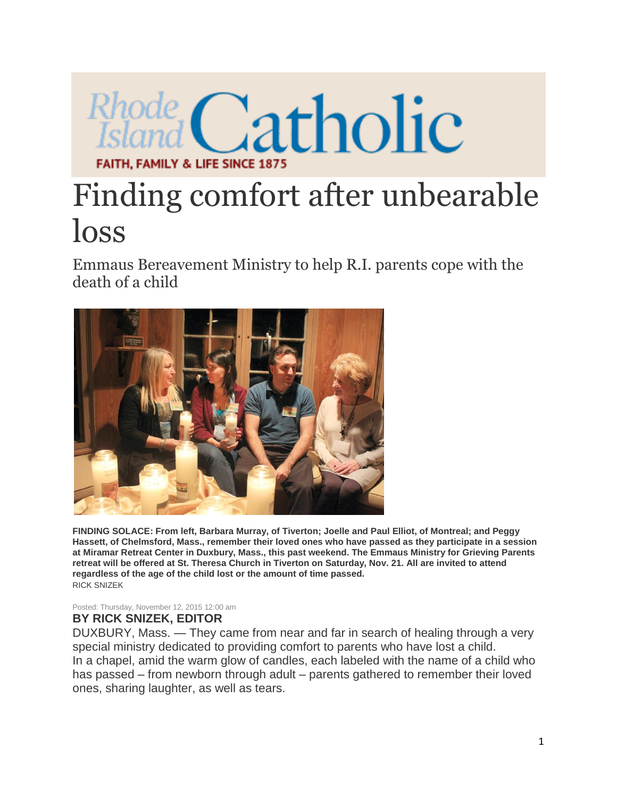

## Finding comfort after unbearable loss

Emmaus Bereavement Ministry to help R.I. parents cope with the death of a child



**FINDING SOLACE: From left, Barbara Murray, of Tiverton; Joelle and Paul Elliot, of Montreal; and Peggy Hassett, of Chelmsford, Mass., remember their loved ones who have passed as they participate in a session at Miramar Retreat Center in Duxbury, Mass., this past weekend. The Emmaus Ministry for Grieving Parents retreat will be offered at St. Theresa Church in Tiverton on Saturday, Nov. 21. All are invited to attend regardless of the age of the child lost or the amount of time passed.** RICK SNIZEK

Posted: Thursday, November 12, 2015 12:00 am

## **BY RICK SNIZEK, EDITOR**

DUXBURY, Mass. — They came from near and far in search of healing through a very special ministry dedicated to providing comfort to parents who have lost a child. In a chapel, amid the warm glow of candles, each labeled with the name of a child who has passed – from newborn through adult – parents gathered to remember their loved ones, sharing laughter, as well as tears.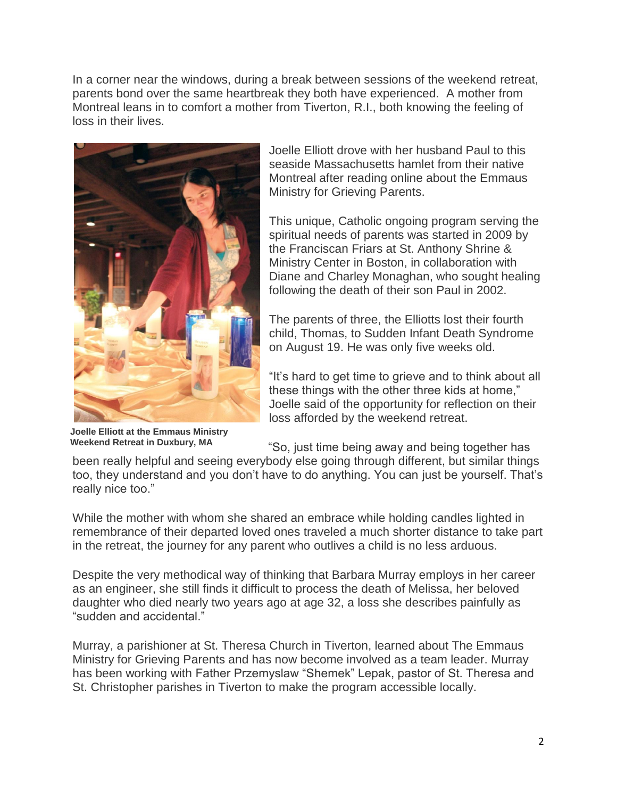In a corner near the windows, during a break between sessions of the weekend retreat, parents bond over the same heartbreak they both have experienced. A mother from Montreal leans in to comfort a mother from Tiverton, R.I., both knowing the feeling of loss in their lives.



**Joelle Elliott at the Emmaus Ministry Weekend Retreat in Duxbury, MA**

Joelle Elliott drove with her husband Paul to this seaside Massachusetts hamlet from their native Montreal after reading online about the Emmaus Ministry for Grieving Parents.

This unique, Catholic ongoing program serving the spiritual needs of parents was started in 2009 by the Franciscan Friars at St. Anthony Shrine & Ministry Center in Boston, in collaboration with Diane and Charley Monaghan, who sought healing following the death of their son Paul in 2002.

The parents of three, the Elliotts lost their fourth child, Thomas, to Sudden Infant Death Syndrome on August 19. He was only five weeks old.

"It's hard to get time to grieve and to think about all these things with the other three kids at home," Joelle said of the opportunity for reflection on their loss afforded by the weekend retreat.

"So, just time being away and being together has

been really helpful and seeing everybody else going through different, but similar things too, they understand and you don't have to do anything. You can just be yourself. That's really nice too."

While the mother with whom she shared an embrace while holding candles lighted in remembrance of their departed loved ones traveled a much shorter distance to take part in the retreat, the journey for any parent who outlives a child is no less arduous.

Despite the very methodical way of thinking that Barbara Murray employs in her career as an engineer, she still finds it difficult to process the death of Melissa, her beloved daughter who died nearly two years ago at age 32, a loss she describes painfully as "sudden and accidental."

Murray, a parishioner at St. Theresa Church in Tiverton, learned about The Emmaus Ministry for Grieving Parents and has now become involved as a team leader. Murray has been working with Father Przemyslaw "Shemek" Lepak, pastor of St. Theresa and St. Christopher parishes in Tiverton to make the program accessible locally.